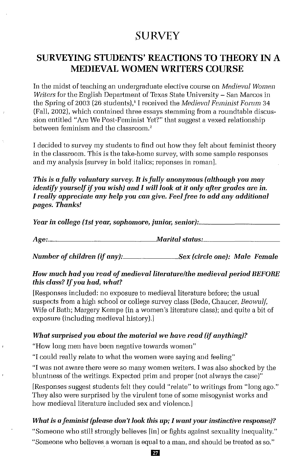# **SURVEY**

# **SURVEYING STUDENfS' REACTIONS TO THEORY IN A MEDIEVAL WOMEN WRITERS COURSE**

In the midst of teaching an undergraduate elective course on *Medieval Women Writers* for the English Department of Texas State University - San Marcos in the Spring of 2003 (26 students),' I received the *Medieval Feminist Forum 34* (Fall, 2002), which contained three essays stemming from a roundtable discussion entitled "Are We Post-Feminist Yet?" that suggest a vexed relationship between feminism and the classroom.<sup>2</sup>

I decided to survey my students to find out how they felt about feminist theory in the classroom. This is the take-home survey, with some sample responses and my analysis [survey in bold italics; reponses in roman].

*This is a fully voluntary survey.* **It** *is fully anonymous (although you may identify yourselfif you wish) and I will look at it only after grades are in. I really appreciate any help you can give. Feel free to add any additional pages. Thanks!*

*YeaTin college {1st year, sophomore, junior, senior}: \_*

*Age: Mtiritnl status: \_*

*Number of children (if any): Sex [circle one): Male Female*

#### *How much had you "madofmedievol literaturelthe medieval period BEFORE this class? If you had, what?*

[Responses included: no exposure to medieval literature before; the usual suspects from a high school or college survey class (Bede, Chaucer, *Beowulf,* Wife of Bath; Margery Kempe (in a women's literature class); and quite a bit of exposure (including medieval historyl.]

#### *What surprised you about the material we have read (if anything)?*

"How long men have been negative towards women"

"I could really relate to what the women were saying and feeling"

"I was not aware there were so many women writers. I was also shocked by the bluntness of the writings. Expected prim and proper (not always the case)"

[Responses suggest students felt they could "relate" to writings from "long ago," They also were surprised by the virulent tone of some misogynist works and how medieval literature included sex and violence.]

### *What is a feminist (please don't look this up; I want yOUT instinctive response]?*

"Someone who still strongly believes [in] or fights against sexuality inequality,"

"Someone who believes a woman is equal to a man, and should be treated as so."

**D7**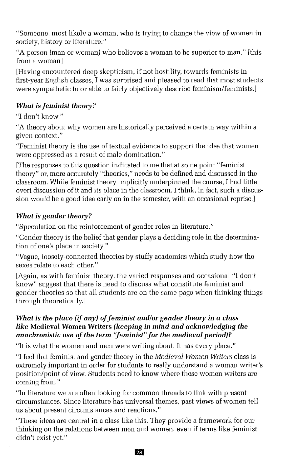"Someone, most likely a woman, who is trying to change the view of women in society, history or literature."

"A person (man or woman) who believes a woman to be superior to man." [this from a woman]

[Having encountered deep skepticism, if not hostility, towards feminists in first-year English classes, I was surprised and pleased to read that most students were sympathetic to or able to fairly objectively describe feminism/feminists.]

# *What is feminist theory?*

"I don't know."

"A theory about why women are historically perceived a certain way within a given context."

"Feminist theory is the use of textual evidence to support the idea that women were oppressed as a result of male domination."

[The responses to this question indicated to me that at some point "feminist theory" or, more accurately "theories," needs to be defined and discussed in the classroom. While feminist theory implicitly underpinned the course, I had little overt discussion of it and its place in the classroom. I think, in fact, such a discussion would be a good idea early on in the semester, with an occasional reprise.]

# *What is gender theory?*

"Speculation on the reinforcement of gender roles in literature."

"Gender theory is the belief that gender plays a deciding role in the determination of one's place in society."

"Vague, loosely-connected theories by stuffy academics which study how the sexes relate to each other."

[Again, as with feminist theory, the varied responses and occasional "I don't know" suggest that there is need to discuss what constitute feminist and gender theories so that all students are on the same page when thinking things through theoretically.]

## *What is the place (if any) of feminist and/or gender theory <i>in a class like* **Medieval Women Writers** *(keeping in mind and acknowledging the anachronistic use of the term "feminist" for the medieval period)?*

"It is what the women and men were writing about. It has every place."

"I feel that feminist and gender theory in the *Medieval Women Writers* class is extremely important in order for students to really understand a woman writer's position/point of view. Students need to know where these women writers are coming from."

"In literature we are often looking for common threads to link with present circumstances. Since literature has universal themes, past views of women tell us about present circumstances and reactions."

"These ideas are central in a class like this. They provide a framework for our thinking on the relations between men and women, even if terms like feminist didn't exist yet."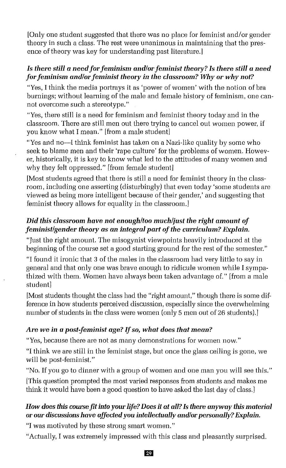[Only one student suggested that there was no place for feminist and/or gender theory in such a class, The rest were unanimous in maintaining that the presence of theory was key for understanding past literature.

## *Is there still* **a** *needforfeminism and/orfeminist theory? Is there still* **a** *need for feminism and/orfeminist theory in the classroom? Why or why not?*

"Yes, I think the media portrays it as 'power of women' with the notion of bra burnings; without learning of the male and female history of feminism, one cannot overcome such a stereotype."

"Yes, there still is a need for feminism and feminist theory today and in the classroom. There are still men out there trying to cancel out women power, if you know what I mean," [from a male student]

"Yes and no-1 think feminist has taken on a Nazi-like quality by some who seek to blame men and their 'rape culture' for the problems of women. However, historically, it is key to know what led to the attitudes of many women and why they felt oppressed." [from female student]

[Most students agreed that there is still a need for feminist theory in the classroom, including one asserting (disturbingly) that even today 'some students are viewed as being more intelligent because of their gender,' and suggesting that feminist theory allows for equality in the classroom.]

# *Did this classroom have not enough/too much/just the right amount of feminist/gender theory* **as** *an integral part of the curriculum? Explain.*

"Just the right amount. The misogynist viewpoints heavily introduced at the beginning of the course set a good starting ground for the rest of the semester."

"I found it ironic that 3 of the males in the classroom had very little to say in general and that only one was brave enough to ridicule women while I sympathized with them, Women have always been taken advantage of." [from a male student]

[Most students thought the class had the "right amount," though there is some difference in how students perceived discussion, especially since the overwhelming number of students in the class were women (only 5 men out of 26 students).]

# *Are we in* **a** *post-feminist age? If so, what does that mean?*

"Yes, because there are not as many demonstrations for women now."

"I think we are still in the feminist stage, but once the glass ceiling is gone, we will be post-feminist."

"No, If you go to dinner with a group of women and one man you will see this." [This question prompted the most varied responses from students and makes me think it would have been a good question to have asked the last day of class.]

# *How does this course fit into your life? Does it* **at** *all?Is there anyway this material* **or** *our discussions have affected you intellectually Ulld/orpersonally?Explain.*

"I was motivated by these strong smart women,"

"Actually, I was extremely impressed with this class and pleasantly surprised.